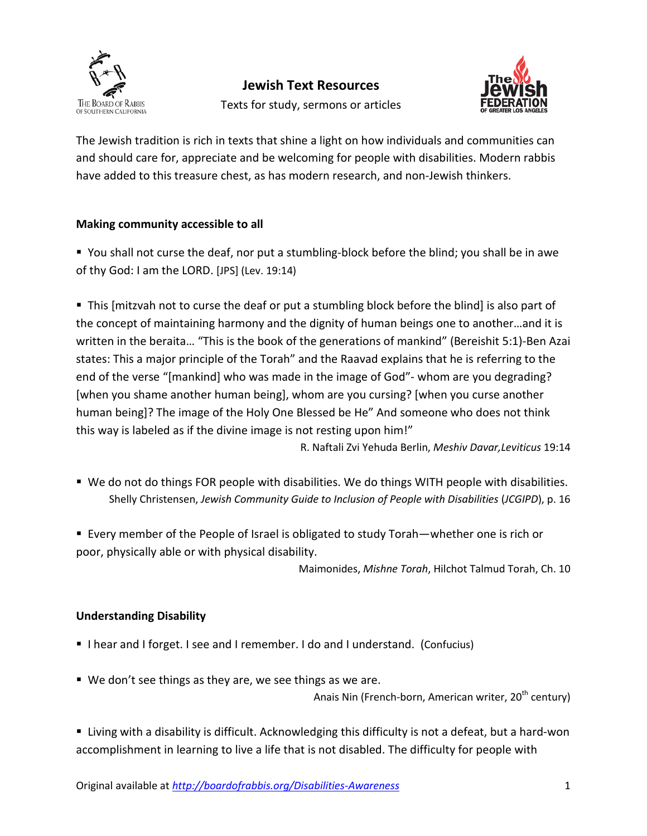



The Jewish tradition is rich in texts that shine a light on how individuals and communities can and should care for, appreciate and be welcoming for people with disabilities. Modern rabbis have added to this treasure chest, as has modern research, and non-Jewish thinkers.

# **Making community accessible to all**

 You shall not curse the deaf, nor put a stumbling-block before the blind; you shall be in awe of thy God: I am the LORD. [JPS] (Lev. 19:14)

 This [mitzvah not to curse the deaf or put a stumbling block before the blind] is also part of the concept of maintaining harmony and the dignity of human beings one to another…and it is written in the beraita… "This is the book of the generations of mankind" (Bereishit 5:1)-Ben Azai states: This a major principle of the Torah" and the Raavad explains that he is referring to the end of the verse "[mankind] who was made in the image of God"- whom are you degrading? [when you shame another human being], whom are you cursing? [when you curse another human being]? The image of the Holy One Blessed be He" And someone who does not think this way is labeled as if the divine image is not resting upon him!"

R. Naftali Zvi Yehuda Berlin, *Meshiv Davar,Leviticus* 19:14

- We do not do things FOR people with disabilities. We do things WITH people with disabilities. Shelly Christensen, *Jewish Community Guide to Inclusion of People with Disabilities* (*JCGIPD*), p. 16
- Every member of the People of Israel is obligated to study Torah—whether one is rich or poor, physically able or with physical disability.

Maimonides, *Mishne Torah*, Hilchot Talmud Torah, Ch. 10

## **Understanding Disability**

- I hear and I forget. I see and I remember. I do and I understand. (Confucius)
- We don't see things as they are, we see things as we are.

Anais Nin (French-born, American writer,  $20<sup>th</sup>$  century)

 Living with a disability is difficult. Acknowledging this difficulty is not a defeat, but a hard-won accomplishment in learning to live a life that is not disabled. The difficulty for people with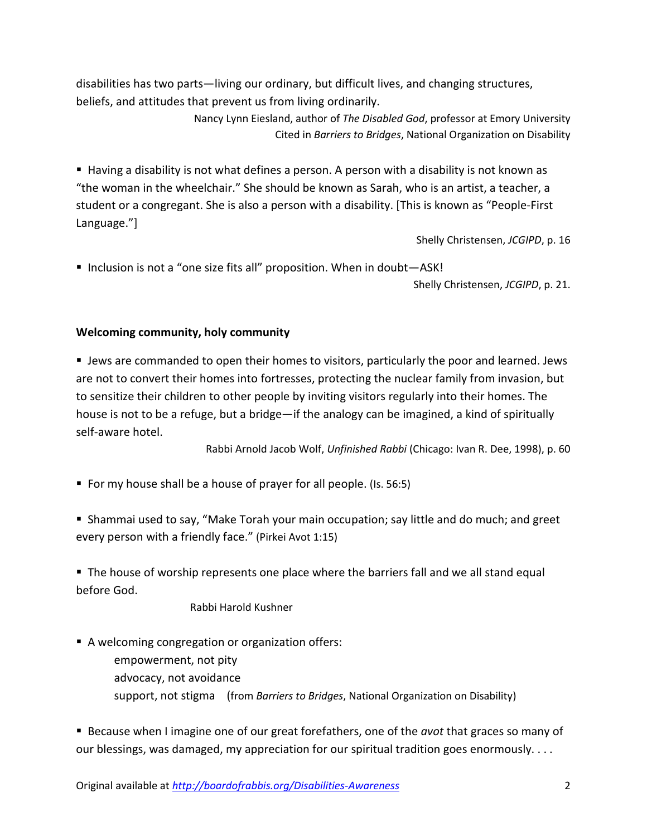disabilities has two parts—living our ordinary, but difficult lives, and changing structures, beliefs, and attitudes that prevent us from living ordinarily.

> Nancy Lynn Eiesland, author of *The Disabled God*, professor at Emory University Cited in *Barriers to Bridges*, National Organization on Disability

 Having a disability is not what defines a person. A person with a disability is not known as "the woman in the wheelchair." She should be known as Sarah, who is an artist, a teacher, a student or a congregant. She is also a person with a disability. [This is known as "People-First Language."]

Shelly Christensen, *JCGIPD*, p. 16

■ Inclusion is not a "one size fits all" proposition. When in doubt-ASK!

Shelly Christensen, *JCGIPD*, p. 21.

### **Welcoming community, holy community**

 Jews are commanded to open their homes to visitors, particularly the poor and learned. Jews are not to convert their homes into fortresses, protecting the nuclear family from invasion, but to sensitize their children to other people by inviting visitors regularly into their homes. The house is not to be a refuge, but a bridge—if the analogy can be imagined, a kind of spiritually self-aware hotel.

Rabbi Arnold Jacob Wolf, *Unfinished Rabbi* (Chicago: Ivan R. Dee, 1998), p. 60

For my house shall be a house of prayer for all people. (Is. 56:5)

 Shammai used to say, "Make Torah your main occupation; say little and do much; and greet every person with a friendly face." (Pirkei Avot 1:15)

The house of worship represents one place where the barriers fall and we all stand equal before God.

Rabbi Harold Kushner

A welcoming congregation or organization offers:

empowerment, not pity advocacy, not avoidance support, not stigma (from *Barriers to Bridges*, National Organization on Disability)

 Because when I imagine one of our great forefathers, one of the *avot* that graces so many of our blessings, was damaged, my appreciation for our spiritual tradition goes enormously....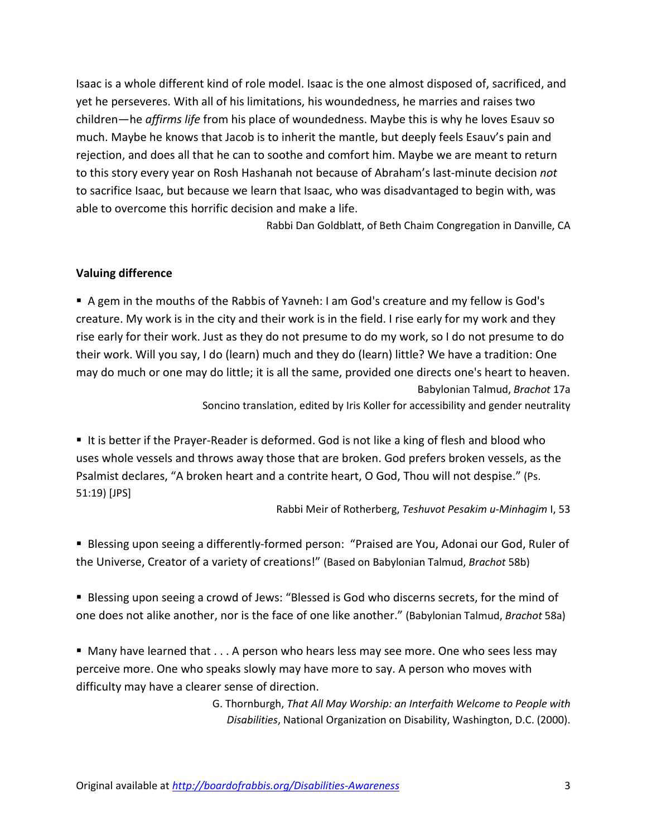Isaac is a whole different kind of role model. Isaac is the one almost disposed of, sacrificed, and yet he perseveres. With all of his limitations, his woundedness, he marries and raises two children—he *affirms life* from his place of woundedness. Maybe this is why he loves Esauv so much. Maybe he knows that Jacob is to inherit the mantle, but deeply feels Esauv's pain and rejection, and does all that he can to soothe and comfort him. Maybe we are meant to return to this story every year on Rosh Hashanah not because of Abraham's last-minute decision *not* to sacrifice Isaac, but because we learn that Isaac, who was disadvantaged to begin with, was able to overcome this horrific decision and make a life.

Rabbi Dan Goldblatt, of Beth Chaim Congregation in Danville, CA

#### **Valuing difference**

 A gem in the mouths of the Rabbis of Yavneh: I am God's creature and my fellow is God's creature. My work is in the city and their work is in the field. I rise early for my work and they rise early for their work. Just as they do not presume to do my work, so I do not presume to do their work. Will you say, I do (learn) much and they do (learn) little? We have a tradition: One may do much or one may do little; it is all the same, provided one directs one's heart to heaven. Babylonian Talmud, *Brachot* 17a

Soncino translation, edited by Iris Koller for accessibility and gender neutrality

It is better if the Prayer-Reader is deformed. God is not like a king of flesh and blood who uses whole vessels and throws away those that are broken. God prefers broken vessels, as the Psalmist declares, "A broken heart and a contrite heart, O God, Thou will not despise." (Ps. 51:19) [JPS]

Rabbi Meir of Rotherberg, *Teshuvot Pesakim u-Minhagim* I, 53

 Blessing upon seeing a differently-formed person: "Praised are You, Adonai our God, Ruler of the Universe, Creator of a variety of creations!" (Based on Babylonian Talmud, *Brachot* 58b)

**Blessing upon seeing a crowd of Jews: "Blessed is God who discerns secrets, for the mind of** one does not alike another, nor is the face of one like another." (Babylonian Talmud, *Brachot* 58a)

 Many have learned that . . . A person who hears less may see more. One who sees less may perceive more. One who speaks slowly may have more to say. A person who moves with difficulty may have a clearer sense of direction.

> G. Thornburgh, *That All May Worship: an Interfaith Welcome to People with Disabilities*, National Organization on Disability, Washington, D.C. (2000).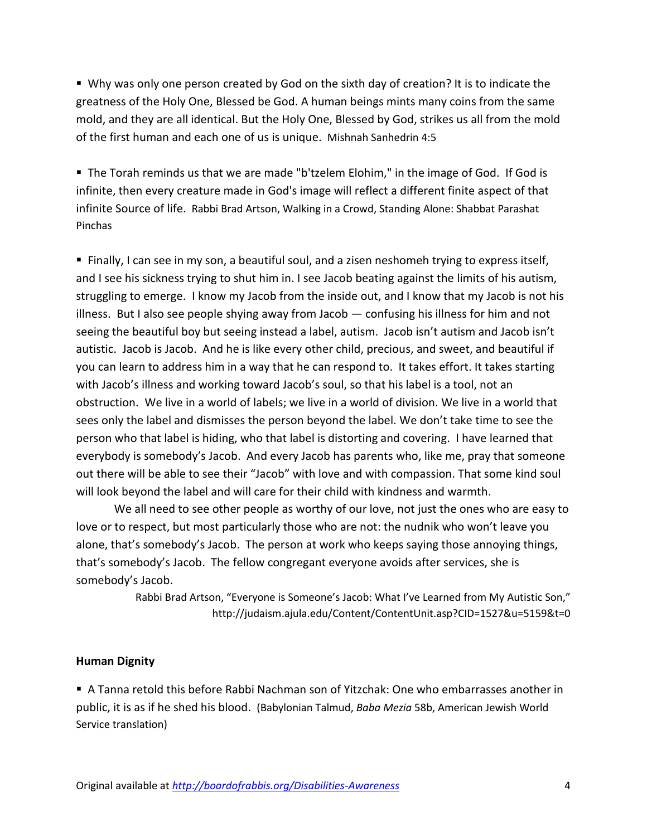Why was only one person created by God on the sixth day of creation? It is to indicate the greatness of the Holy One, Blessed be God. A human beings mints many coins from the same mold, and they are all identical. But the Holy One, Blessed by God, strikes us all from the mold of the first human and each one of us is unique. Mishnah Sanhedrin 4:5

 The Torah reminds us that we are made "b'tzelem Elohim," in the image of God. If God is infinite, then every creature made in God's image will reflect a different finite aspect of that infinite Source of life. Rabbi Brad Artson, Walking in a Crowd, Standing Alone: Shabbat Parashat Pinchas

 Finally, I can see in my son, a beautiful soul, and a zisen neshomeh trying to express itself, and I see his sickness trying to shut him in. I see Jacob beating against the limits of his autism, struggling to emerge. I know my Jacob from the inside out, and I know that my Jacob is not his illness. But I also see people shying away from Jacob — confusing his illness for him and not seeing the beautiful boy but seeing instead a label, autism. Jacob isn't autism and Jacob isn't autistic. Jacob is Jacob. And he is like every other child, precious, and sweet, and beautiful if you can learn to address him in a way that he can respond to. It takes effort. It takes starting with Jacob's illness and working toward Jacob's soul, so that his label is a tool, not an obstruction. We live in a world of labels; we live in a world of division. We live in a world that sees only the label and dismisses the person beyond the label. We don't take time to see the person who that label is hiding, who that label is distorting and covering. I have learned that everybody is somebody's Jacob. And every Jacob has parents who, like me, pray that someone out there will be able to see their "Jacob" with love and with compassion. That some kind soul will look beyond the label and will care for their child with kindness and warmth.

We all need to see other people as worthy of our love, not just the ones who are easy to love or to respect, but most particularly those who are not: the nudnik who won't leave you alone, that's somebody's Jacob. The person at work who keeps saying those annoying things, that's somebody's Jacob. The fellow congregant everyone avoids after services, she is somebody's Jacob.

> Rabbi Brad Artson, "Everyone is Someone's Jacob: What I've Learned from My Autistic Son," <http://judaism.ajula.edu/Content/ContentUnit.asp?CID=1527&u=5159&t=0>

#### **Human Dignity**

 A Tanna retold this before Rabbi Nachman son of Yitzchak: One who embarrasses another in public, it is as if he shed his blood. (Babylonian Talmud, *Baba Mezia* 58b, American Jewish World Service translation)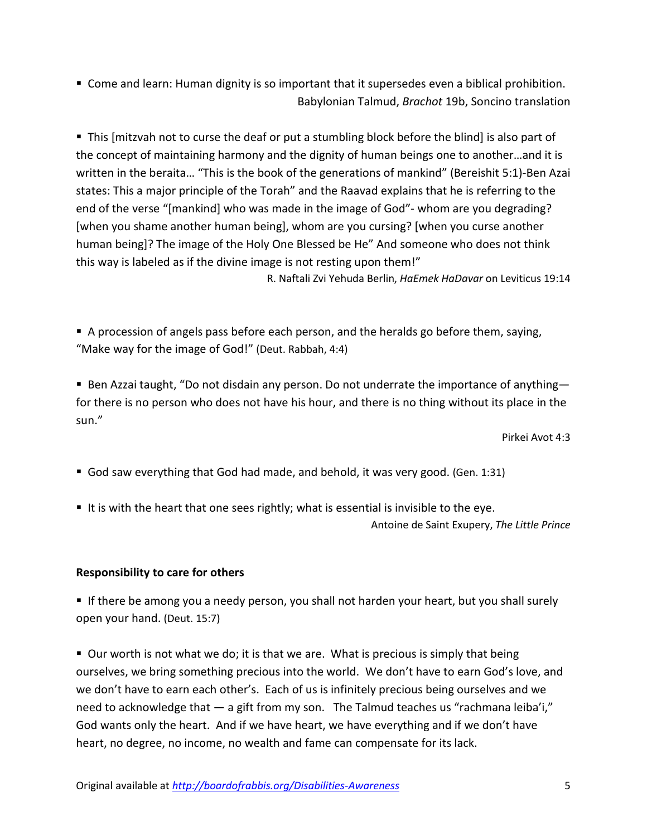Come and learn: Human dignity is so important that it supersedes even a biblical prohibition. Babylonian Talmud, *Brachot* 19b, Soncino translation

 This [mitzvah not to curse the deaf or put a stumbling block before the blind] is also part of the concept of maintaining harmony and the dignity of human beings one to another…and it is written in the beraita… "This is the book of the generations of mankind" (Bereishit 5:1)-Ben Azai states: This a major principle of the Torah" and the Raavad explains that he is referring to the end of the verse "[mankind] who was made in the image of God"- whom are you degrading? [when you shame another human being], whom are you cursing? [when you curse another human being]? The image of the Holy One Blessed be He" And someone who does not think this way is labeled as if the divine image is not resting upon them!"

R. Naftali Zvi Yehuda Berlin, *HaEmek HaDavar* on Leviticus 19:14

 A procession of angels pass before each person, and the heralds go before them, saying, "Make way for the image of God!" (Deut. Rabbah, 4:4)

■ Ben Azzai taught, "Do not disdain any person. Do not underrate the importance of anything for there is no person who does not have his hour, and there is no thing without its place in the sun."

Pirkei Avot 4:3

- God saw everything that God had made, and behold, it was very good. (Gen. 1:31)
- It is with the heart that one sees rightly; what is essential is invisible to the eye.

Antoine de Saint Exupery, *The Little Prince*

#### **Responsibility to care for others**

If there be among you a needy person, you shall not harden your heart, but you shall surely open your hand. (Deut. 15:7)

■ Our worth is not what we do; it is that we are. What is precious is simply that being ourselves, we bring something precious into the world. We don't have to earn God's love, and we don't have to earn each other's. Each of us is infinitely precious being ourselves and we need to acknowledge that — a gift from my son. The Talmud teaches us "rachmana leiba'i," God wants only the heart. And if we have heart, we have everything and if we don't have heart, no degree, no income, no wealth and fame can compensate for its lack.